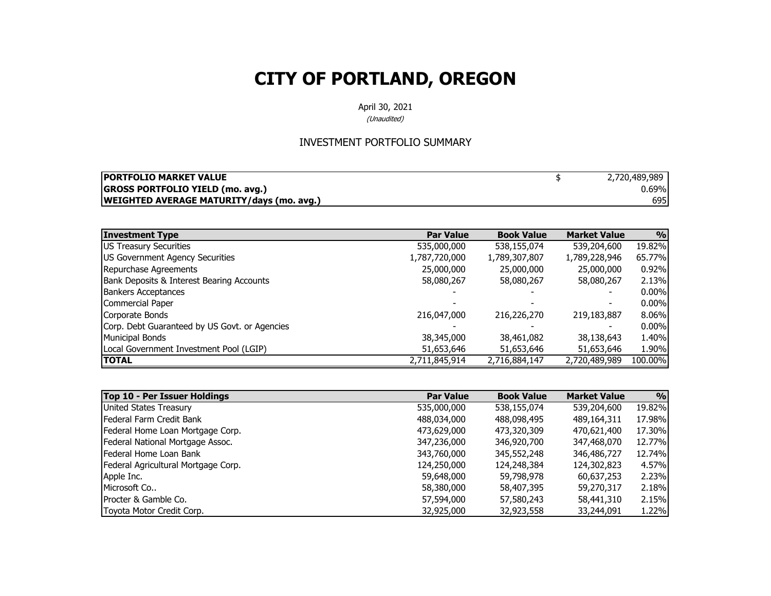April 30, 2021

(Unaudited)

#### INVESTMENT PORTFOLIO SUMMARY

| <b>IPORTFOLIO MARKET VALUE</b>                   | 2,720,489,989 |
|--------------------------------------------------|---------------|
| <b>GROSS PORTFOLIO YIELD (mo. avg.)</b>          | 0.69%         |
| <b>WEIGHTED AVERAGE MATURITY/days (mo. avg.)</b> | 695           |

| <b>Investment Type</b>                        | <b>Par Value</b> | <b>Book Value</b> | <b>Market Value</b> | $\frac{0}{0}$ |
|-----------------------------------------------|------------------|-------------------|---------------------|---------------|
| <b>US Treasury Securities</b>                 | 535,000,000      | 538,155,074       | 539,204,600         | 19.82%        |
| US Government Agency Securities               | 1,787,720,000    | 1,789,307,807     | 1,789,228,946       | 65.77%        |
| Repurchase Agreements                         | 25,000,000       | 25,000,000        | 25,000,000          | 0.92%         |
| Bank Deposits & Interest Bearing Accounts     | 58,080,267       | 58,080,267        | 58,080,267          | 2.13%         |
| <b>Bankers Acceptances</b>                    |                  |                   |                     | $0.00\%$      |
| Commercial Paper                              |                  |                   |                     | $0.00\%$      |
| Corporate Bonds                               | 216,047,000      | 216,226,270       | 219,183,887         | 8.06%         |
| Corp. Debt Guaranteed by US Govt. or Agencies |                  |                   |                     | $0.00\%$      |
| <b>Municipal Bonds</b>                        | 38,345,000       | 38,461,082        | 38,138,643          | 1.40%         |
| Local Government Investment Pool (LGIP)       | 51,653,646       | 51,653,646        | 51,653,646          | 1.90%         |
| <b>TOTAL</b>                                  | 2,711,845,914    | 2,716,884,147     | 2,720,489,989       | 100.00%       |

| Top 10 - Per Issuer Holdings        | <b>Par Value</b> | <b>Book Value</b> | <b>Market Value</b> | 9/0    |
|-------------------------------------|------------------|-------------------|---------------------|--------|
| United States Treasury              | 535,000,000      | 538,155,074       | 539,204,600         | 19.82% |
| Federal Farm Credit Bank            | 488,034,000      | 488,098,495       | 489,164,311         | 17.98% |
| Federal Home Loan Mortgage Corp.    | 473,629,000      | 473,320,309       | 470,621,400         | 17.30% |
| Federal National Mortgage Assoc.    | 347,236,000      | 346,920,700       | 347,468,070         | 12.77% |
| <b>IFederal Home Loan Bank</b>      | 343,760,000      | 345,552,248       | 346,486,727         | 12.74% |
| Federal Agricultural Mortgage Corp. | 124,250,000      | 124,248,384       | 124,302,823         | 4.57%  |
| Apple Inc.                          | 59,648,000       | 59,798,978        | 60,637,253          | 2.23%  |
| Microsoft Co                        | 58,380,000       | 58,407,395        | 59,270,317          | 2.18%  |
| <b>IProcter &amp; Gamble Co.</b>    | 57,594,000       | 57,580,243        | 58,441,310          | 2.15%  |
| Toyota Motor Credit Corp.           | 32,925,000       | 32,923,558        | 33,244,091          | 1.22%  |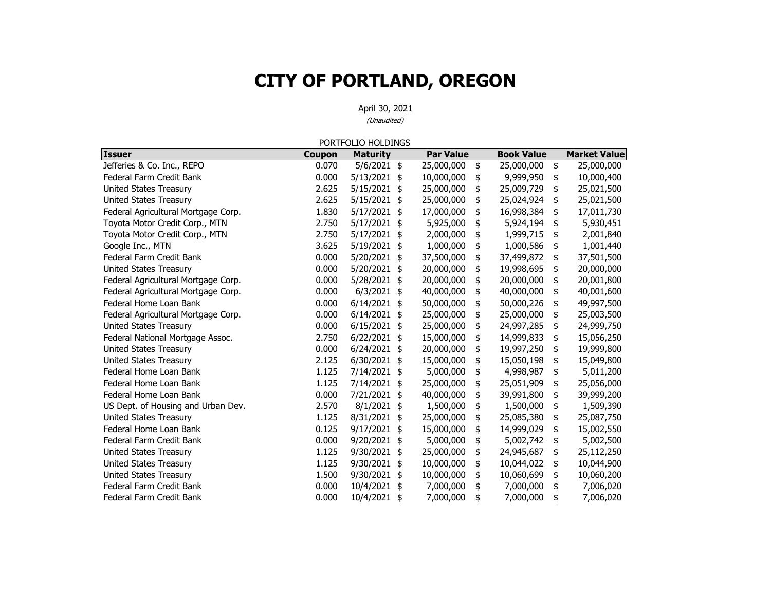April 30, 2021 (Unaudited)

**Issuer Coupon Maturit y Par Value Book Value Market Value** Jefferies & Co. Inc., REPO  $0.070$   $5/6/2021$   $\frac{4}{3}$   $25,000,000$   $\frac{4}{3}$   $25,000,000$   $\frac{4}{3}$   $25,000,000$ Federal Farm Credit Bank $0.000$   $5/13/2021$  \$  $10,000,000$  \$ 9,999,950 \$ 10,000,400 United States Treasury 1.625 2.625 5/15/2021 \$ 25,000,000 \$ 25,009,729 \$ 25,021,500 United States Treasury 1.625 2.625 2.625 2.625 25,000,000 3 25,024,924 3 25,021,500 Federal Agricultural Mortgage Corp. 1.830 5/17/2021 \$ 17,000,000 \$ 16,998,384 \$ 17,011,730 Toyota Motor Credit Corp., MTN 2.750 5/17/2021 \$5,925,000 \$5,924,194 \$5,930,451 Toyota Motor Credit Corp., MTN 2.750 2.750 2.750 2.7712021 4 2,000,000 4 1,999,715 4 2,001,840 Google Inc., MTN 6001,440 Federal Farm Credit Bank 0.000 5/20/2021 37,500,000 \$ 37,499,872 \$ 37,501,500 \$ United States Treasury 0.000 5/20/2021 20,000,000 \$ 19,998,695 \$ 20,000,000 \$ Federal Agricultural Mortgage Corp.  $0.000$  5/28/2021  $\frac{1}{2}$  20,000,000  $\frac{1}{2}$  20,000,000 \$ 20,001,800 Federal Agricultural Mortgage Corp.  $0.000$  6/3/2021 \$ 40,000,000 \$ 40,000,000 \$ 40,001,600 Federal Home Loan Bank0.000 6/14/2021 \$ 50.000.000 \$ 50.000.226 \$ 49.997.500 Federal Agricultural Mortgage Corp.  $0.000 \quad 6/14/2021 \quad $35,000,000 \quad $25,000,000 \quad $3 \quad 25,003,500$ United States Treasury 1.000 0.000 6/15/2021 \$ 25,000,000 \$ 24,997,285 \$ 24,999,750 Federal National Mortgage Assoc. 2.750 6/22/2021 \$ 15,000,000 \$ 14,999,833 \$ 15,056,250 United States Treasury 19,999,800 10.000 16/24/2021  $\frac{1}{2}$  20,000,000  $\frac{1}{2}$  19,997,250  $\frac{1}{2}$  19,999,800 United States Treasury 15,049,800 12.125 6/30/2021 15  $15,000,000$  15  $15,050,198$  15,049,800 Federal Home Loan Bank 1.125 7/14/2021 5,000,000 \$ 4,998,987 \$ 5,011,200 \$ Federal Home Loan Bank 1.125 7/14/2021 25,000,000 \$ 25,051,909 \$ 25,056,000 \$ Federal Home Loan Bank 0.000 7/21/2021 40,000,000 \$ 39,991,800 \$ 39,999,200 \$ US Dept. of Housing and Urban Dev. 2.570 8/1/2021 \$ 1,500,000 \$ 1,500,000 \$ 1,509,390 United States Treasury 1.125 8/31/2021 \$ 25,000,000 \$ 25,085,380 \$ 25,087,750 Federal Home Loan Bank0.125 9/17/2021 \$ 15,000,000 \$ 14,999,029 \$ 15,002,550 Federal Farm Credit Bank0.000 9/20/2021 \$ 5,000,000 \$ 5,002,742 \$ 5,002,500 United States Treasury 1.125 9/30/2021 \$ 25,000,000 \$ 24,945,687 \$ 25,112,250 United States Treasury 1.125 9/30/2021 \$ 10,000,000 \$ 10,044,022 \$ 10,044,900 United States Treasury 1.500 9/30/2021 \$ 10,000,000 \$ 10,060,699 \$ 10,060,200 Federal Farm Credit Bank0.000 10/4/2021 \$ 7,000,000 \$ 7,000,000 \$ 7,006,020 Federal Farm Credit Bank0.000 10/4/2021 \$ 7,000,000 \$ 7,000,000 \$ 7,006,020 PORTFOLIO HOLDINGS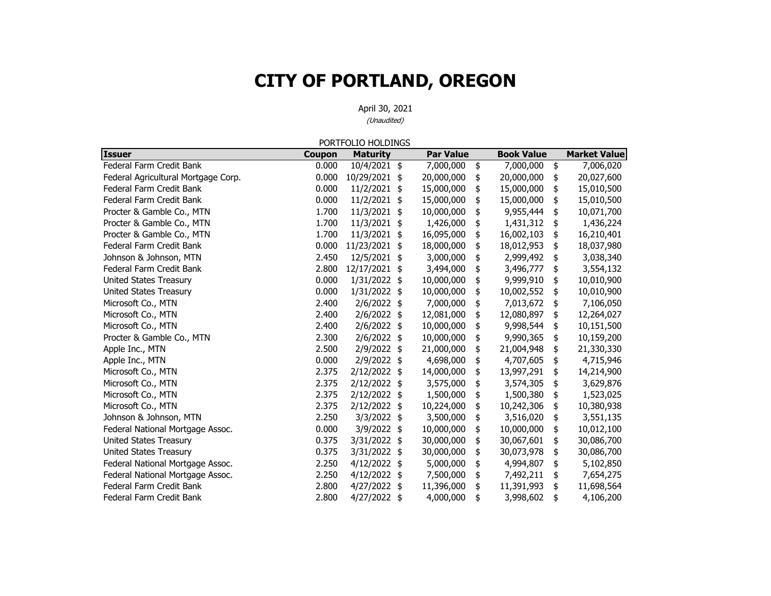|                                     |               | PORTFOLIO HOLDINGS |                  |                   |                     |
|-------------------------------------|---------------|--------------------|------------------|-------------------|---------------------|
| <b>Issuer</b>                       | <b>Coupon</b> | <b>Maturity</b>    | <b>Par Value</b> | <b>Book Value</b> | <b>Market Value</b> |
| Federal Farm Credit Bank            | 0.000         | 10/4/2021 \$       | 7,000,000        | \$<br>7,000,000   | \$<br>7,006,020     |
| Federal Agricultural Mortgage Corp. | 0.000         | 10/29/2021         | \$<br>20,000,000 | \$<br>20,000,000  | \$<br>20,027,600    |
| Federal Farm Credit Bank            | 0.000         | 11/2/2021          | \$<br>15,000,000 | \$<br>15,000,000  | \$<br>15,010,500    |
| Federal Farm Credit Bank            | 0.000         | 11/2/2021          | \$<br>15,000,000 | \$<br>15,000,000  | \$<br>15,010,500    |
| Procter & Gamble Co., MTN           | 1.700         | 11/3/2021          | \$<br>10,000,000 | \$<br>9,955,444   | \$<br>10,071,700    |
| Procter & Gamble Co., MTN           | 1.700         | 11/3/2021          | \$<br>1,426,000  | \$<br>1,431,312   | \$<br>1,436,224     |
| Procter & Gamble Co., MTN           | 1.700         | 11/3/2021 \$       | 16,095,000       | \$<br>16,002,103  | \$<br>16,210,401    |
| Federal Farm Credit Bank            | 0.000         | 11/23/2021         | \$<br>18,000,000 | \$<br>18,012,953  | \$<br>18,037,980    |
| Johnson & Johnson, MTN              | 2.450         | 12/5/2021          | \$<br>3,000,000  | \$<br>2,999,492   | \$<br>3,038,340     |
| Federal Farm Credit Bank            | 2.800         | 12/17/2021 \$      | 3,494,000        | \$<br>3,496,777   | \$<br>3,554,132     |
| United States Treasury              | 0.000         | 1/31/2022 \$       | 10,000,000       | \$<br>9,999,910   | \$<br>10,010,900    |
| <b>United States Treasury</b>       | 0.000         | 1/31/2022 \$       | 10,000,000       | \$<br>10,002,552  | \$<br>10,010,900    |
| Microsoft Co., MTN                  | 2.400         | 2/6/2022 \$        | 7,000,000        | \$<br>7,013,672   | \$<br>7,106,050     |
| Microsoft Co., MTN                  | 2.400         | 2/6/2022 \$        | 12,081,000       | \$<br>12,080,897  | \$<br>12,264,027    |
| Microsoft Co., MTN                  | 2.400         | 2/6/2022 \$        | 10,000,000       | \$<br>9,998,544   | \$<br>10,151,500    |
| Procter & Gamble Co., MTN           | 2.300         | 2/6/2022 \$        | 10,000,000       | \$<br>9,990,365   | \$<br>10,159,200    |
| Apple Inc., MTN                     | 2.500         | 2/9/2022 \$        | 21,000,000       | \$<br>21,004,948  | \$<br>21,330,330    |
| Apple Inc., MTN                     | 0.000         | 2/9/2022 \$        | 4,698,000        | \$<br>4,707,605   | \$<br>4,715,946     |
| Microsoft Co., MTN                  | 2.375         | 2/12/2022 \$       | 14,000,000       | \$<br>13,997,291  | \$<br>14,214,900    |
| Microsoft Co., MTN                  | 2.375         | 2/12/2022 \$       | 3,575,000        | \$<br>3,574,305   | \$<br>3,629,876     |
| Microsoft Co., MTN                  | 2.375         | 2/12/2022 \$       | 1,500,000        | \$<br>1,500,380   | \$<br>1,523,025     |
| Microsoft Co., MTN                  | 2.375         | 2/12/2022 \$       | 10,224,000       | \$<br>10,242,306  | \$<br>10,380,938    |
| Johnson & Johnson, MTN              | 2.250         | 3/3/2022 \$        | 3,500,000        | \$<br>3,516,020   | \$<br>3,551,135     |
| Federal National Mortgage Assoc.    | 0.000         | 3/9/2022 \$        | 10,000,000       | \$<br>10,000,000  | \$<br>10,012,100    |
| <b>United States Treasury</b>       | 0.375         | 3/31/2022          | \$<br>30,000,000 | \$<br>30,067,601  | \$<br>30,086,700    |
| <b>United States Treasury</b>       | 0.375         | 3/31/2022          | \$<br>30,000,000 | \$<br>30,073,978  | \$<br>30,086,700    |
| Federal National Mortgage Assoc.    | 2.250         | $4/12/2022$ \$     | 5,000,000        | \$<br>4,994,807   | \$<br>5,102,850     |
| Federal National Mortgage Assoc.    | 2.250         | 4/12/2022 \$       | 7,500,000        | \$<br>7,492,211   | \$<br>7,654,275     |
| Federal Farm Credit Bank            | 2.800         | 4/27/2022 \$       | 11,396,000       | \$<br>11,391,993  | \$<br>11,698,564    |
| Federal Farm Credit Bank            | 2.800         | 4/27/2022          | \$<br>4,000,000  | \$<br>3,998,602   | \$<br>4,106,200     |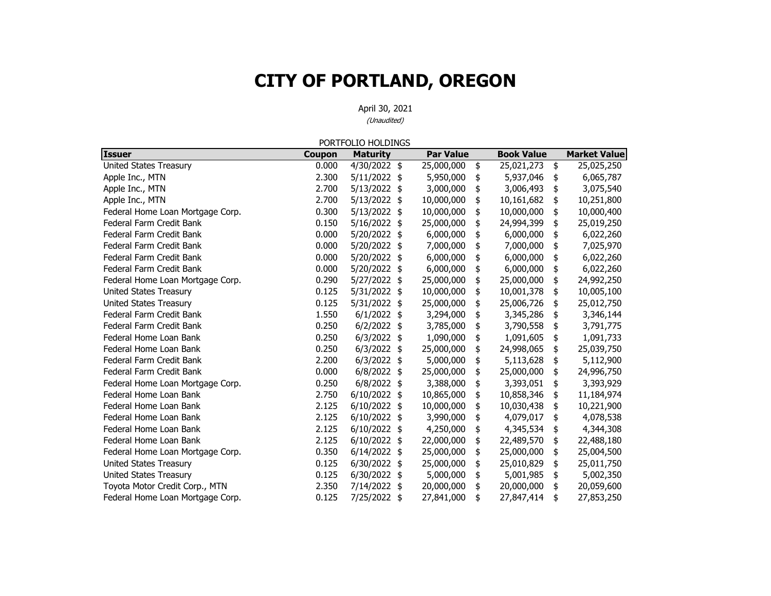April 30, 2021 (Unaudited)

**Issuer Coupon Maturit y Par Value Book Value Market Value** United States Treasury 1.000 2000 2000 4/30/2022 25 25,000,000 25 25,021,273 25 25,025,250 Apple Inc., MTN 2.300 5/11/2022 \$5,950,000 \$5,937,046 \$6,065,787 Apple Inc., MTN 2.700 3/13/2022 \$3,000,000 \$3,006,493 \$3,075,540 Apple Inc., MTN 2.700 3/13/2022 \$ 10,000,000 \$ 10,161,682 \$ 10,251,800 Federal Home Loan Mortgage Corp. 10.000 60000 5/13/2022 \$ 10,000,000 \$ 10,000,000 \$ 10,000,400 Federal Farm Credit Bank $0.150$   $5/16/2022$  \$ 25,000,000 \$ 24,994,399 \$ 25,019,250 Federal Farm Credit Bank 0.000 5/20/2022 6,000,000 \$ 6,000,000 \$ 6,022,260 \$ Federal Farm Credit Bank0.000 5/20/2022 \$ 7,000,000 \$ 7,000,000 \$ 7,025,970 Federal Farm Credit Bank 0.000 5/20/2022 6,000,000 \$ 6,000,000 \$ 6,022,260 \$ Federal Farm Credit Bank 0.000 5/20/2022 6,000,000 \$ 6,000,000 \$ 6,022,260 \$ Federal Home Loan Mortgage Corp.  $0.290$   $5/27/2022$  \$  $25,000,000$  \$  $25,000,000$  \$  $24,992,250$ United States Treasury 10,000,000 \$ 10,001,378 \$ 10,005,100 United States Treasury 0.125 5/31/2022 25,000,000 \$ 25,006,726 \$ 25,012,750 \$ Federal Farm Credit Bank1.550 6/1/2022 \$ 3,294,000 \$ 3,345,286 \$ 3,346,144 Federal Farm Credit Bank0.250  $6/2/2022$  \$ 3,785,000 \$ 3,790,558 \$ 3,791,775 Federal Home Loan Bank0.250  $6/3/2022$  \$ 1,090,000 \$ 1,091,605 \$ 1,091,733 Federal Home Loan Bank0.250 6/3/2022 \$ 25,000,000 \$ 24,998,065 \$ 25,039,750 Federal Farm Credit Bank 2.200 6/3/2022 5,000,000 \$ 5,113,628 \$ 5,112,900 \$ Federal Farm Credit Bank $0.000$   $6/8/2022$  \$ 25,000,000 \$ 25,000,000 \$ 24,996,750 Federal Home Loan Mortgage Corp. 0.250 6/8/2022  $\frac{1}{9}$  3,388,000  $\frac{1}{9}$  3,393,051  $\frac{1}{9}$  3,393,929 Federal Home Loan Bank2.750 6/10/2022 \$ 10,865,000 \$ 10,858,346 \$ 11,184,974 Federal Home Loan Bank2.125 6/10/2022 \$ 10,000,000 \$ 10,030,438 \$ 10,221,900 Federal Home Loan Bank 2.125 6/10/2022 3,990,000 \$ 4,079,017 \$ 4,078,538 \$ Federal Home Loan Bank2.125 6/10/2022 \$4,250,000 \$4,345,534 \$4,344,308 Federal Home Loan Bank2.125 6/10/2022 \$ 22,000,000 \$ 22,489,570 \$ 22,488,180 Federal Home Loan Mortgage Corp.  $0.350$  6/14/2022  $\frac{1}{3}$  25,000,000  $\frac{1}{3}$  25,000,000 \$ 25,000,000 \$ United States Treasury 15,000 125 6/30/2022 25 25,000,000 25 25,010,829 25,011,750 United States Treasury 0.125 6/30/2022 5,000,000 \$ 5,001,985 \$ 5,002,350 \$ Toyota Motor Credit Corp., MTN 2023 2.350 7/14/2022 \$ 20,000,000 \$ 20,000,000 \$ 20,059,600 Federal Home Loan Mortgage Corp. 0.125 7/25/2022 \$ 27,841,000 \$ 27,847,414 \$ 27,853,250 PORTFOLIO HOLDINGS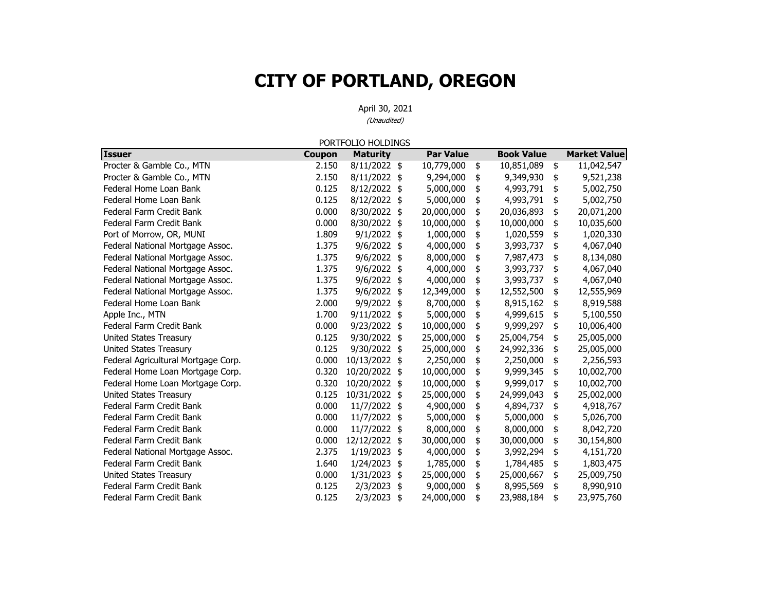April 30, 2021 (Unaudited)

**Issuer Coupon Maturit y Par Value Book Value Market Value** Procter & Gamble Co., MTN 2.150 8/11/2022  $\frac{150}{2}$  10,779,000  $\frac{10}{2}$  10,851,089  $\frac{11}{2}$ ,942,547 Procter & Gamble Co., MTN 2.150 8/11/2022 \$9,294,000 \$9,349,930 \$9,521,238 Federal Home Loan Bank0.125 8/12/2022 \$ 5,000,000 \$ 4,993,791 \$ 5,002,750 Federal Home Loan Bank0.125 8/12/2022 \$ 5,000,000 \$ 4,993,791 \$ 5,002,750 Federal Farm Credit Bank $0.000$   $8/30/2022$  \$ 20,000,000 \$ 20,036,893 \$ 20,071,200 Federal Farm Credit Bank0.000 8/30/2022 \$ 10,000,000 \$ 10,000,000 \$ 10,035,600 Port of Morrow, OR, MUNI 1.809 9/1/2022 \$ 1,000,000 \$ 1,020,559 \$ 1,020,330 Federal National Mortgage Assoc. 1.375 9/6/2022 \$4,000,000 \$3,993,737 \$4,067,040 Federal National Mortgage Assoc. 1.375 9/6/2022 \$ 8,000,000 \$ 7,987,473 \$ 8,134,080 Federal National Mortgage Assoc. 1.375 9/6/2022 \$4,000,000 \$3,993,737 \$4,067,040 Federal National Mortgage Assoc. 1.375 9/6/2022 \$4,000,000 \$3,993,737 \$4,067,040 Federal National Mortgage Assoc. 1.375 9/6/2022 \$ 12,349,000 \$ 12,552,500 \$ 12,555,969 Federal Home Loan Bank2.000 9/9/2022 \$ 8.700,000 \$ 8.915,162 \$ 8.919,588 Apple Inc., MTN 1.700 9/11/2022 \$5,000,000 54,999,615 \$5,100,550 Federal Farm Credit Bank $0.000$   $9/23/2022$  \$  $10,000,000$  \$  $9,999,297$  \$  $10,006,400$ United States Treasury 1.125 9/30/2022 25 25,000,000 25 25,004,754 25,005,000 United States Treasury 15,000 and 125 0.125 9/30/2022 104 25,000,000 104 24,992,336 104 25,005,000 Federal Agricultural Mortgage Corp. 0.000 10/13/2022 \$2,250,000 \$2,250,000 \$2,256,593 Federal Home Loan Mortgage Corp. 10.002,700 10/20/2022 \$ 10,000,000 \$ 9,999,345 \$ 10,002,700 Federal Home Loan Mortgage Corp. 10.002.700 10/20/2022 \$ 10,000,000 \$ 9,999,017 \$ 10,002,700 United States Treasury 1.125 10/31/2022 \$ 25,000,000 \$ 24,999,043 \$ 25,002,000 Federal Farm Credit Bank0.000 11/7/2022 \$4,900,000 \$4,894,737 \$4,918,767 Federal Farm Credit Bank 0.000 11/7/2022 5,000,000 \$ 5,000,000 \$ 5,026,700 \$ Federal Farm Credit Bank0.000  $11/7/2022$  \$ 8,000,000 \$ 8,000,000 \$ 8,042,720 Federal Farm Credit Bank 0.000 12/12/2022 30,000,000 \$ 30,000,000 \$ 30,154,800 \$ Federal National Mortgage Assoc. 2.375 1/19/2023 \$4,000,000 \$3,992,294 \$4,151,720 Federal Farm Credit Bank1.640 1/24/2023 \$ 1,785,000 \$ 1,784,485 \$ 1,803,475 United States Treasury 1.000 0.000 1/31/2023 \$ 25,000,000 \$ 25,000,667 \$ 25,000,750 Federal Farm Credit Bank $0.125$   $2/3/2023$  \$  $9,000,000$  \$  $8,995,569$  \$  $8,990,910$ Federal Farm Credit Bank0.125 2/3/2023 \$ 24,000,000 \$ 23,988,184 \$ 23,975,760 PORTFOLIO HOLDINGS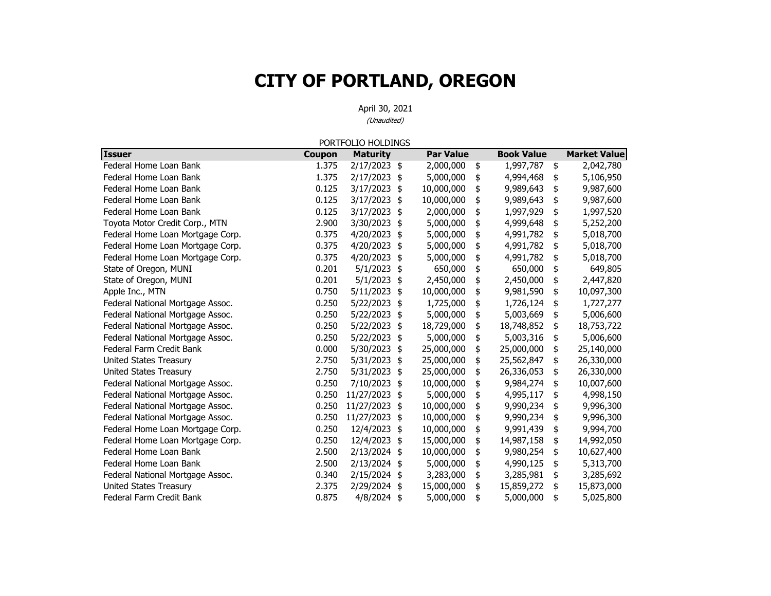April 30, 2021 (Unaudited)

**Issuer Coupon Maturit y Par Value Book Value Market Value** Federal Home Loan Bank1.375 2/17/2023 \$ 2,000,000 \$ 1,997,787 \$ 2,042,780 Federal Home Loan Bank1.375 2/17/2023 \$ 5,000,000 \$ 4,994,468 \$ 5,106,950 Federal Home Loan Bank $0.125$   $3/17/2023$  \$  $10,000,000$  \$ 9,989,643 \$ 9,987,600 Federal Home Loan Bank $0.125$   $3/17/2023$  \$  $10,000,000$  \$ 9,989,643 \$ 9,987,600 Federal Home Loan Bank0.125 3/17/2023 \$ 2,000,000 \$ 1,997,929 \$ 1,997,520 Toyota Motor Credit Corp., MTN 2.900 3/30/2023 5,000,000 \$ 4,999,648 \$ 5,252,200 \$ Federal Home Loan Mortgage Corp. 1.1.200.000 \$ 4,991,782 \$ 5,018,700 Federal Home Loan Mortgage Corp. 0.375 4/20/2023 \$ 5,000,000 \$ 4,991,782 \$ 5,018,700 Federal Home Loan Mortgage Corp. 10.375 4/20/2023 \$ 5,000,000 \$ 4,991,782 \$ 5,018,700 State of Oregon, MUNI 1 1 1 2020 1 201 5/1/2023 \$ 650,000 \$ 650,000 \$ 649,805 State of Oregon, MUNI 0.201 5/1/2023 \$ 2,450,000 \$ 2,450,000 \$ 2,447,820 Apple Inc., MTN 6.097,300 10.750 5/11/2023 10,000,000 5 9,981,590 10,097,300 Federal National Mortgage Assoc. 1.250 0.250 5/22/2023 \$ 1.725,000 \$ 1.726,124 \$ 1.727,277 Federal National Mortgage Assoc.  $0.250 \quad 5/22/2023 \quad $5,000,000 \quad $5,003,669 \quad $5,006,600$ Federal National Mortgage Assoc. 1.250 5/22/2023 18,729,000 18 18,748,852 18,753,722 Federal National Mortgage Assoc.  $0.250 \quad 5/22/2023 \quad $5,000,000 \quad $5,003,316 \quad $5,006,600$ Federal Farm Credit Bank 0.000 5/30/2023 25,000,000 \$ 25,000,000 \$ 25,140,000 \$ United States Treasury 2.750 5/31/2023 \$ 25,000,000 \$ 25,562,847 \$ 26,330,000 United States Treasury 10.750 2.750 2.750 25,000,000 5 26,336,053 26,330,000 Federal National Mortgage Assoc.  $0.250$   $7/10/2023$  \$  $10,000,000$  \$ 9,984,274 \$ 10,007,600 Federal National Mortgage Assoc.  $0.250 \frac{11}{27}/2023 \frac{1}{5}$  5,000,000 \$ 4,995,117 \$ 4,998,150 Federal National Mortgage Assoc. 0.250 11/27/2023 10,000,000 \$ 9,990,234 \$ 9,996,300 \$ Federal National Mortgage Assoc. 1.1/27/2023 11/27/2023 10,000,000 5 9,990,234 \$ 9,996,300 Federal Home Loan Mortgage Corp. 10.250 12/4/2023 \$ 10,000,000 \$ 9,991,439 \$ 9,994,700 Federal Home Loan Mortgage Corp. 10.250 12/4/2023 \$ 15,000,000 \$ 14,987,158 \$ 14,992,050 Federal Home Loan Bank2.500 2/13/2024 \$ 10,000,000 \$ 9,980,254 \$ 10,627,400 Federal Home Loan Bank2.500 2/13/2024 \$ 5,000,000 \$ 4,990,125 \$ 5,313,700 Federal National Mortgage Assoc.  $0.340 \quad 2/15/2024 \quad $3,283,000 \quad $3,285,981 \quad $3,285,692$ United States Treasury 15,873,000 16 15,000,000 15 15,859,272 15,873,000 Federal Farm Credit Bank0.875 4/8/2024 \$ 5,000,000 \$ 5,000,000 \$ 5,025,800 PORTFOLIO HOLDINGS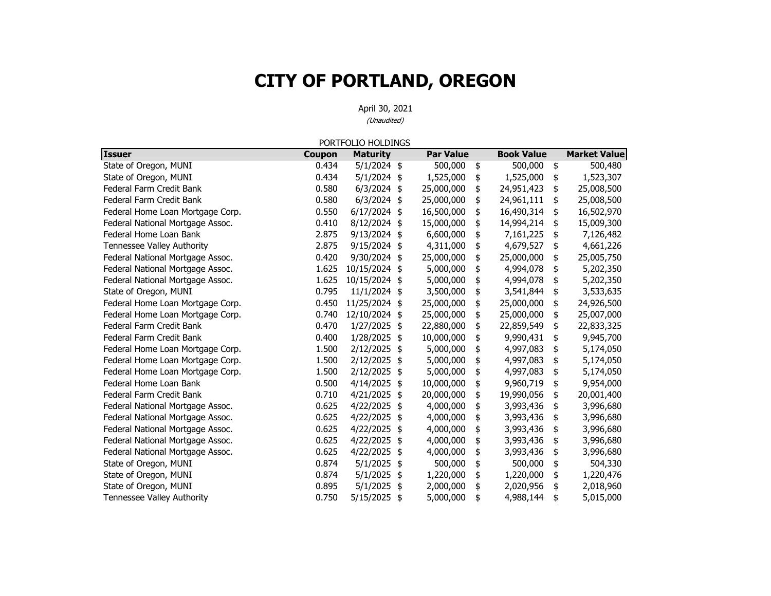|                                   |        | PORTFOLIO HOLDINGS |                  |                   |                     |
|-----------------------------------|--------|--------------------|------------------|-------------------|---------------------|
| <b>Issuer</b>                     | Coupon | <b>Maturity</b>    | <b>Par Value</b> | <b>Book Value</b> | <b>Market Value</b> |
| State of Oregon, MUNI             | 0.434  | $5/1/2024$ \$      | 500,000          | \$<br>500,000     | \$<br>500,480       |
| State of Oregon, MUNI             | 0.434  | $5/1/2024$ \$      | 1,525,000        | \$<br>1,525,000   | \$<br>1,523,307     |
| Federal Farm Credit Bank          | 0.580  | $6/3/2024$ \$      | 25,000,000       | \$<br>24,951,423  | \$<br>25,008,500    |
| Federal Farm Credit Bank          | 0.580  | $6/3/2024$ \$      | 25,000,000       | \$<br>24,961,111  | \$<br>25,008,500    |
| Federal Home Loan Mortgage Corp.  | 0.550  | $6/17/2024$ \$     | 16,500,000       | \$<br>16,490,314  | \$<br>16,502,970    |
| Federal National Mortgage Assoc.  | 0.410  | 8/12/2024 \$       | 15,000,000       | \$<br>14,994,214  | \$<br>15,009,300    |
| Federal Home Loan Bank            | 2.875  | 9/13/2024 \$       | 6,600,000        | \$<br>7,161,225   | \$<br>7,126,482     |
| Tennessee Valley Authority        | 2.875  | 9/15/2024 \$       | 4,311,000        | \$<br>4,679,527   | \$<br>4,661,226     |
| Federal National Mortgage Assoc.  | 0.420  | 9/30/2024 \$       | 25,000,000       | \$<br>25,000,000  | \$<br>25,005,750    |
| Federal National Mortgage Assoc.  | 1.625  | 10/15/2024 \$      | 5,000,000        | \$<br>4,994,078   | \$<br>5,202,350     |
| Federal National Mortgage Assoc.  | 1.625  | 10/15/2024 \$      | 5,000,000        | \$<br>4,994,078   | \$<br>5,202,350     |
| State of Oregon, MUNI             | 0.795  | 11/1/2024 \$       | 3,500,000        | \$<br>3,541,844   | \$<br>3,533,635     |
| Federal Home Loan Mortgage Corp.  | 0.450  | 11/25/2024 \$      | 25,000,000       | \$<br>25,000,000  | \$<br>24,926,500    |
| Federal Home Loan Mortgage Corp.  | 0.740  | 12/10/2024 \$      | 25,000,000       | \$<br>25,000,000  | \$<br>25,007,000    |
| Federal Farm Credit Bank          | 0.470  | 1/27/2025          | \$<br>22,880,000 | \$<br>22,859,549  | \$<br>22,833,325    |
| Federal Farm Credit Bank          | 0.400  | 1/28/2025 \$       | 10,000,000       | \$<br>9,990,431   | \$<br>9,945,700     |
| Federal Home Loan Mortgage Corp.  | 1.500  | 2/12/2025 \$       | 5,000,000        | \$<br>4,997,083   | \$<br>5,174,050     |
| Federal Home Loan Mortgage Corp.  | 1.500  | 2/12/2025 \$       | 5,000,000        | \$<br>4,997,083   | \$<br>5,174,050     |
| Federal Home Loan Mortgage Corp.  | 1.500  | 2/12/2025 \$       | 5,000,000        | \$<br>4,997,083   | \$<br>5,174,050     |
| Federal Home Loan Bank            | 0.500  | 4/14/2025          | \$<br>10,000,000 | \$<br>9,960,719   | \$<br>9,954,000     |
| Federal Farm Credit Bank          | 0.710  | 4/21/2025          | \$<br>20,000,000 | \$<br>19,990,056  | \$<br>20,001,400    |
| Federal National Mortgage Assoc.  | 0.625  | 4/22/2025          | \$<br>4,000,000  | \$<br>3,993,436   | \$<br>3,996,680     |
| Federal National Mortgage Assoc.  | 0.625  | 4/22/2025          | \$<br>4,000,000  | \$<br>3,993,436   | \$<br>3,996,680     |
| Federal National Mortgage Assoc.  | 0.625  | 4/22/2025 \$       | 4,000,000        | \$<br>3,993,436   | \$<br>3,996,680     |
| Federal National Mortgage Assoc.  | 0.625  | 4/22/2025          | \$<br>4,000,000  | \$<br>3,993,436   | \$<br>3,996,680     |
| Federal National Mortgage Assoc.  | 0.625  | 4/22/2025          | \$<br>4,000,000  | \$<br>3,993,436   | \$<br>3,996,680     |
| State of Oregon, MUNI             | 0.874  | $5/1/2025$ \$      | 500,000          | \$<br>500,000     | \$<br>504,330       |
| State of Oregon, MUNI             | 0.874  | 5/1/2025 \$        | 1,220,000        | \$<br>1,220,000   | \$<br>1,220,476     |
| State of Oregon, MUNI             | 0.895  | 5/1/2025           | \$<br>2,000,000  | \$<br>2,020,956   | \$<br>2,018,960     |
| <b>Tennessee Valley Authority</b> | 0.750  | 5/15/2025          | \$<br>5,000,000  | \$<br>4,988,144   | \$<br>5,015,000     |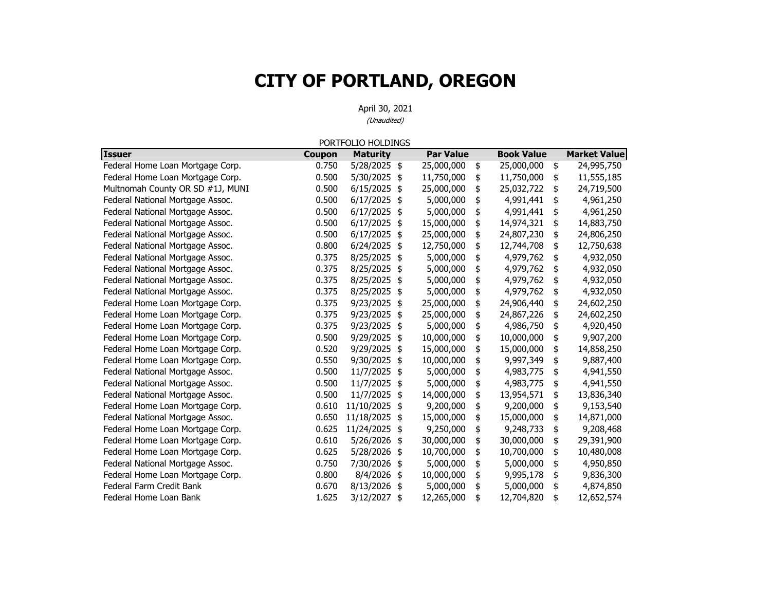|                                  |        | PORTFOLIO HOLDINGS |                  |                   |                     |
|----------------------------------|--------|--------------------|------------------|-------------------|---------------------|
| <b>Issuer</b>                    | Coupon | <b>Maturity</b>    | <b>Par Value</b> | <b>Book Value</b> | <b>Market Value</b> |
| Federal Home Loan Mortgage Corp. | 0.750  | 5/28/2025 \$       | 25,000,000       | \$<br>25,000,000  | \$<br>24,995,750    |
| Federal Home Loan Mortgage Corp. | 0.500  | 5/30/2025          | \$<br>11,750,000 | \$<br>11,750,000  | \$<br>11,555,185    |
| Multnomah County OR SD #1J, MUNI | 0.500  | 6/15/2025          | \$<br>25,000,000 | \$<br>25,032,722  | \$<br>24,719,500    |
| Federal National Mortgage Assoc. | 0.500  | 6/17/2025          | \$<br>5,000,000  | \$<br>4,991,441   | \$<br>4,961,250     |
| Federal National Mortgage Assoc. | 0.500  | $6/17/2025$ \$     | 5,000,000        | \$<br>4,991,441   | \$<br>4,961,250     |
| Federal National Mortgage Assoc. | 0.500  | 6/17/2025          | \$<br>15,000,000 | \$<br>14,974,321  | \$<br>14,883,750    |
| Federal National Mortgage Assoc. | 0.500  | 6/17/2025          | \$<br>25,000,000 | \$<br>24,807,230  | \$<br>24,806,250    |
| Federal National Mortgage Assoc. | 0.800  | 6/24/2025          | \$<br>12,750,000 | \$<br>12,744,708  | \$<br>12,750,638    |
| Federal National Mortgage Assoc. | 0.375  | 8/25/2025          | \$<br>5,000,000  | \$<br>4,979,762   | \$<br>4,932,050     |
| Federal National Mortgage Assoc. | 0.375  | 8/25/2025          | \$<br>5,000,000  | \$<br>4,979,762   | \$<br>4,932,050     |
| Federal National Mortgage Assoc. | 0.375  | 8/25/2025          | \$<br>5,000,000  | \$<br>4,979,762   | \$<br>4,932,050     |
| Federal National Mortgage Assoc. | 0.375  | 8/25/2025          | \$<br>5,000,000  | \$<br>4,979,762   | \$<br>4,932,050     |
| Federal Home Loan Mortgage Corp. | 0.375  | 9/23/2025          | \$<br>25,000,000 | \$<br>24,906,440  | \$<br>24,602,250    |
| Federal Home Loan Mortgage Corp. | 0.375  | 9/23/2025          | \$<br>25,000,000 | \$<br>24,867,226  | \$<br>24,602,250    |
| Federal Home Loan Mortgage Corp. | 0.375  | 9/23/2025          | \$<br>5,000,000  | \$<br>4,986,750   | \$<br>4,920,450     |
| Federal Home Loan Mortgage Corp. | 0.500  | 9/29/2025          | \$<br>10,000,000 | \$<br>10,000,000  | \$<br>9,907,200     |
| Federal Home Loan Mortgage Corp. | 0.520  | 9/29/2025          | \$<br>15,000,000 | \$<br>15,000,000  | \$<br>14,858,250    |
| Federal Home Loan Mortgage Corp. | 0.550  | 9/30/2025          | \$<br>10,000,000 | \$<br>9,997,349   | \$<br>9,887,400     |
| Federal National Mortgage Assoc. | 0.500  | 11/7/2025          | \$<br>5,000,000  | \$<br>4,983,775   | \$<br>4,941,550     |
| Federal National Mortgage Assoc. | 0.500  | 11/7/2025          | \$<br>5,000,000  | \$<br>4,983,775   | \$<br>4,941,550     |
| Federal National Mortgage Assoc. | 0.500  | 11/7/2025          | \$<br>14,000,000 | \$<br>13,954,571  | \$<br>13,836,340    |
| Federal Home Loan Mortgage Corp. | 0.610  | 11/10/2025 \$      | 9,200,000        | \$<br>9,200,000   | \$<br>9,153,540     |
| Federal National Mortgage Assoc. | 0.650  | 11/18/2025         | \$<br>15,000,000 | \$<br>15,000,000  | \$<br>14,871,000    |
| Federal Home Loan Mortgage Corp. | 0.625  | 11/24/2025         | \$<br>9,250,000  | \$<br>9,248,733   | \$<br>9,208,468     |
| Federal Home Loan Mortgage Corp. | 0.610  | 5/26/2026          | \$<br>30,000,000 | \$<br>30,000,000  | \$<br>29,391,900    |
| Federal Home Loan Mortgage Corp. | 0.625  | 5/28/2026          | \$<br>10,700,000 | \$<br>10,700,000  | \$<br>10,480,008    |
| Federal National Mortgage Assoc. | 0.750  | 7/30/2026          | \$<br>5,000,000  | \$<br>5,000,000   | \$<br>4,950,850     |
| Federal Home Loan Mortgage Corp. | 0.800  | 8/4/2026           | \$<br>10,000,000 | \$<br>9,995,178   | \$<br>9,836,300     |
| Federal Farm Credit Bank         | 0.670  | 8/13/2026          | \$<br>5,000,000  | \$<br>5,000,000   | \$<br>4,874,850     |
| Federal Home Loan Bank           | 1.625  | 3/12/2027          | \$<br>12,265,000 | \$<br>12,704,820  | \$<br>12,652,574    |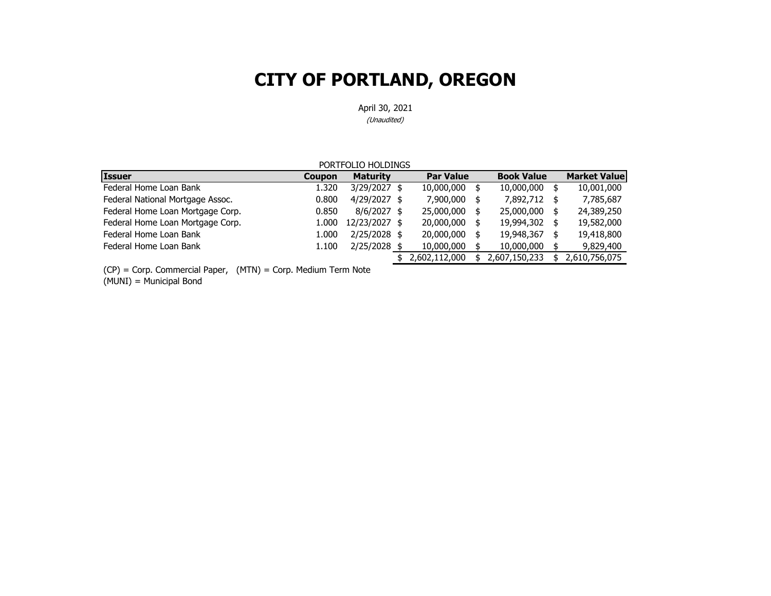April 30, 2021

(Unaudited)

| PORTFOLIO HOLDINGS                           |               |                 |  |                  |  |                   |  |                     |
|----------------------------------------------|---------------|-----------------|--|------------------|--|-------------------|--|---------------------|
| <b>Issuer</b>                                | <b>Coupon</b> | <b>Maturity</b> |  | <b>Par Value</b> |  | <b>Book Value</b> |  | <b>Market Value</b> |
| Federal Home Loan Bank                       | 1.320         | 3/29/2027 \$    |  | 10,000,000       |  | 10,000,000        |  | 10,001,000          |
| Federal National Mortgage Assoc.             | 0.800         | $4/29/2027$ \$  |  | 7,900,000        |  | 7,892,712 \$      |  | 7,785,687           |
| Federal Home Loan Mortgage Corp.             | 0.850         | $8/6/2027$ \$   |  | 25,000,000       |  | 25,000,000        |  | 24,389,250          |
| Federal Home Loan Mortgage Corp.             | 1.000         | 12/23/2027 \$   |  | 20,000,000       |  | 19,994,302 \$     |  | 19,582,000          |
| Federal Home Loan Bank                       | 1.000         | 2/25/2028 \$    |  | 20,000,000       |  | 19,948,367        |  | 19,418,800          |
| Federal Home Loan Bank                       | 1.100         | 2/25/2028 \$    |  | 10,000,000       |  | 10,000,000        |  | 9,829,400           |
|                                              |               |                 |  | 2,602,112,000    |  | 2,607,150,233     |  | 2,610,756,075       |
| $\sim$<br>$\cdot$ $\cdot$ $\sim$<br>$\cdots$ |               |                 |  |                  |  |                   |  |                     |

(CP) = Corp. Commercial Paper, (MTN) = Corp. Medium Term Note

(MUNI) = Municipal Bond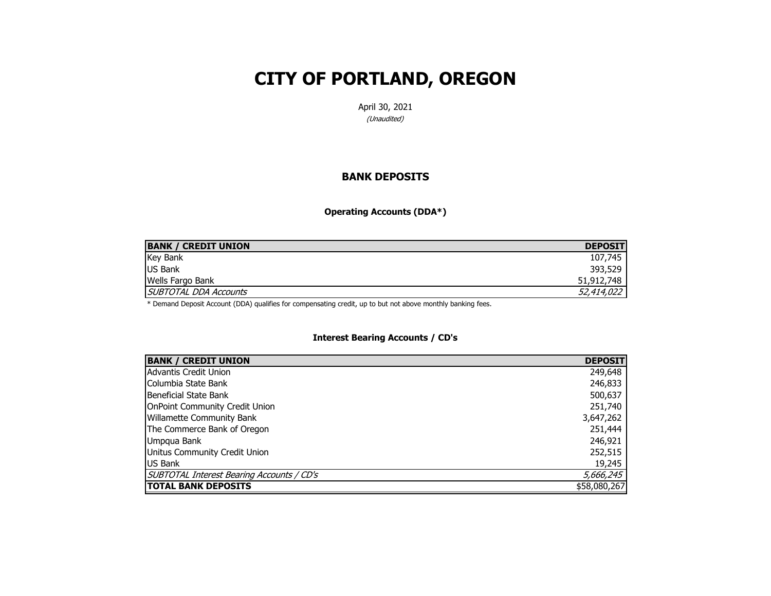April 30, 2021

(Unaudited)

#### **BANK DEPOSITS**

**Operating Accounts (DDA\*)**

| <b>BANK / CREDIT UNION</b> | <b>DEPOSIT</b> |
|----------------------------|----------------|
| <b>Key Bank</b>            | 107,745        |
| <b>US Bank</b>             | 393,529        |
| <b>Wells Fargo Bank</b>    | 51,912,748     |
| SUBTOTAL DDA Accounts      | 52,414,022     |

\* Demand Deposit Account (DDA) qualifies for compensating credit, up to but not above monthly banking fees.

#### **Interest Bearing Accounts / CD's**

| <b>BANK / CREDIT UNION</b>                | <b>DEPOSIT</b> |
|-------------------------------------------|----------------|
| Advantis Credit Union                     | 249,648        |
| Columbia State Bank                       | 246,833        |
| Beneficial State Bank                     | 500,637        |
| <b>OnPoint Community Credit Union</b>     | 251,740        |
| <b>Willamette Community Bank</b>          | 3,647,262      |
| The Commerce Bank of Oregon               | 251,444        |
| Umpqua Bank                               | 246,921        |
| Unitus Community Credit Union             | 252,515        |
| <b>US Bank</b>                            | 19,245         |
| SUBTOTAL Interest Bearing Accounts / CD's | 5,666,245      |
| <b>TOTAL BANK DEPOSITS</b>                | \$58,080,267   |